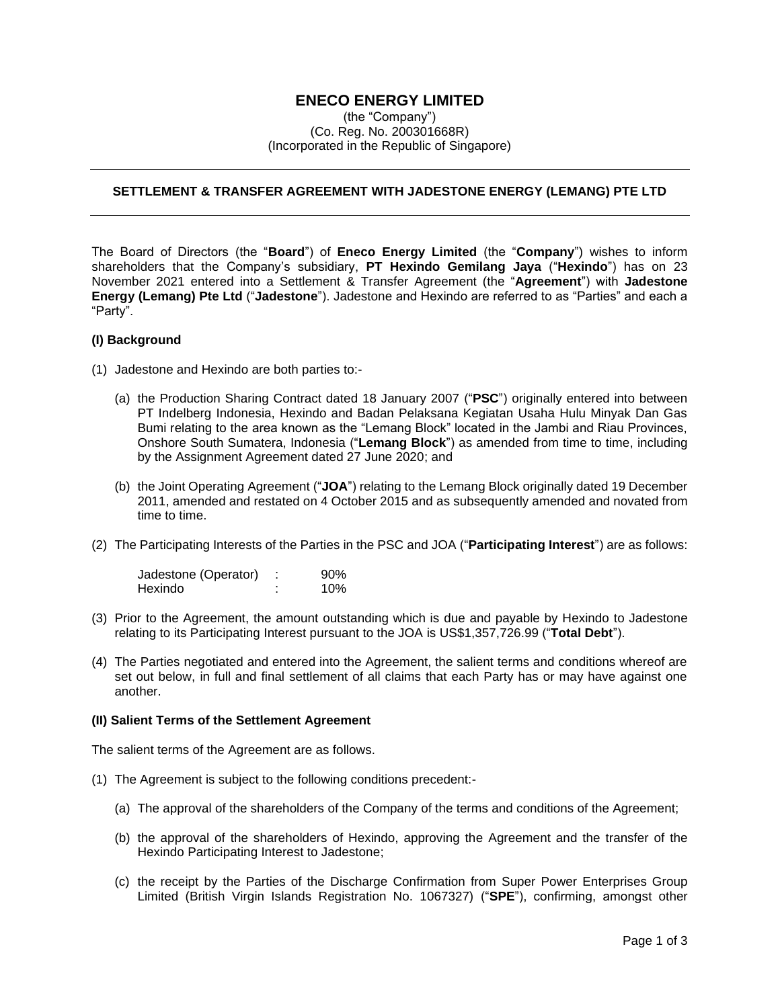## **ENECO ENERGY LIMITED**

(the "Company") (Co. Reg. No. 200301668R) (Incorporated in the Republic of Singapore)

## **SETTLEMENT & TRANSFER AGREEMENT WITH JADESTONE ENERGY (LEMANG) PTE LTD**

The Board of Directors (the "**Board**") of **Eneco Energy Limited** (the "**Company**") wishes to inform shareholders that the Company's subsidiary, **PT Hexindo Gemilang Jaya** ("**Hexindo**") has on 23 November 2021 entered into a Settlement & Transfer Agreement (the "**Agreement**") with **Jadestone Energy (Lemang) Pte Ltd** ("**Jadestone**"). Jadestone and Hexindo are referred to as "Parties" and each a "Party".

## **(I) Background**

- (1) Jadestone and Hexindo are both parties to:-
	- (a) the Production Sharing Contract dated 18 January 2007 ("**PSC**") originally entered into between PT Indelberg Indonesia, Hexindo and Badan Pelaksana Kegiatan Usaha Hulu Minyak Dan Gas Bumi relating to the area known as the "Lemang Block" located in the Jambi and Riau Provinces, Onshore South Sumatera, Indonesia ("**Lemang Block**") as amended from time to time, including by the Assignment Agreement dated 27 June 2020; and
	- (b) the Joint Operating Agreement ("**JOA**") relating to the Lemang Block originally dated 19 December 2011, amended and restated on 4 October 2015 and as subsequently amended and novated from time to time.
- (2) The Participating Interests of the Parties in the PSC and JOA ("**Participating Interest**") are as follows:

| Jadestone (Operator) | 90% |
|----------------------|-----|
| Hexindo              | 10% |

- (3) Prior to the Agreement, the amount outstanding which is due and payable by Hexindo to Jadestone relating to its Participating Interest pursuant to the JOA is US\$1,357,726.99 ("**Total Debt**").
- (4) The Parties negotiated and entered into the Agreement, the salient terms and conditions whereof are set out below, in full and final settlement of all claims that each Party has or may have against one another.

## **(II) Salient Terms of the Settlement Agreement**

The salient terms of the Agreement are as follows.

- (1) The Agreement is subject to the following conditions precedent:-
	- (a) The approval of the shareholders of the Company of the terms and conditions of the Agreement;
	- (b) the approval of the shareholders of Hexindo, approving the Agreement and the transfer of the Hexindo Participating Interest to Jadestone;
	- (c) the receipt by the Parties of the Discharge Confirmation from Super Power Enterprises Group Limited (British Virgin Islands Registration No. 1067327) ("**SPE**"), confirming, amongst other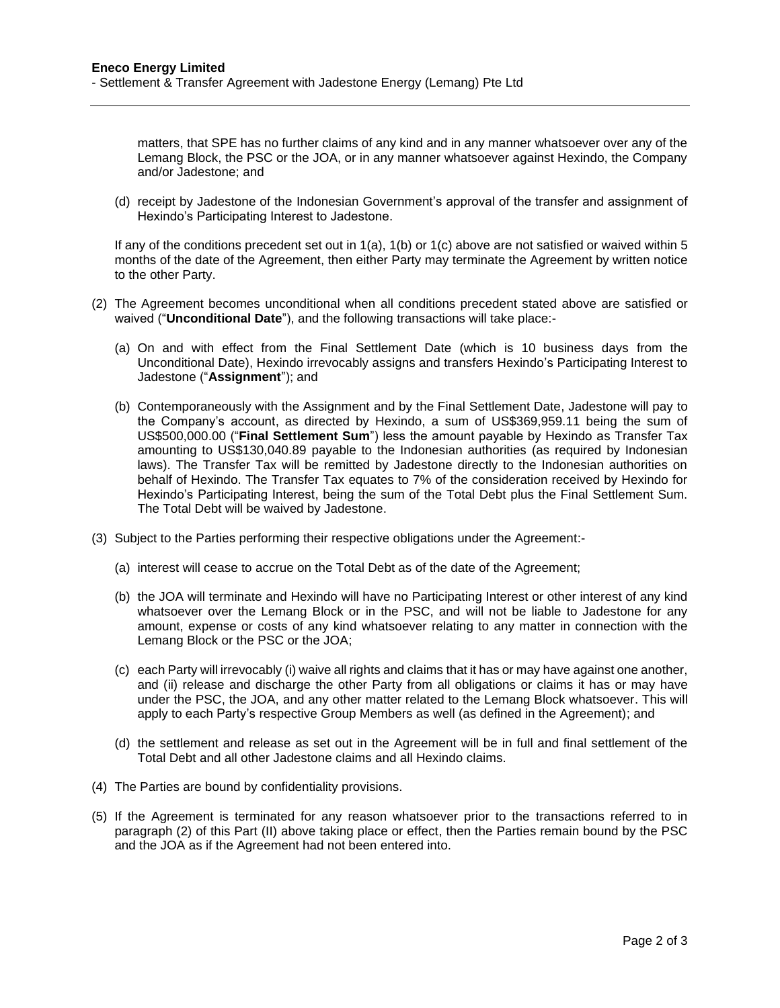matters, that SPE has no further claims of any kind and in any manner whatsoever over any of the Lemang Block, the PSC or the JOA, or in any manner whatsoever against Hexindo, the Company and/or Jadestone; and

(d) receipt by Jadestone of the Indonesian Government's approval of the transfer and assignment of Hexindo's Participating Interest to Jadestone.

If any of the conditions precedent set out in 1(a), 1(b) or 1(c) above are not satisfied or waived within 5 months of the date of the Agreement, then either Party may terminate the Agreement by written notice to the other Party.

- (2) The Agreement becomes unconditional when all conditions precedent stated above are satisfied or waived ("**Unconditional Date**"), and the following transactions will take place:-
	- (a) On and with effect from the Final Settlement Date (which is 10 business days from the Unconditional Date), Hexindo irrevocably assigns and transfers Hexindo's Participating Interest to Jadestone ("**Assignment**"); and
	- (b) Contemporaneously with the Assignment and by the Final Settlement Date, Jadestone will pay to the Company's account, as directed by Hexindo, a sum of US\$369,959.11 being the sum of US\$500,000.00 ("**Final Settlement Sum**") less the amount payable by Hexindo as Transfer Tax amounting to US\$130,040.89 payable to the Indonesian authorities (as required by Indonesian laws). The Transfer Tax will be remitted by Jadestone directly to the Indonesian authorities on behalf of Hexindo. The Transfer Tax equates to 7% of the consideration received by Hexindo for Hexindo's Participating Interest, being the sum of the Total Debt plus the Final Settlement Sum. The Total Debt will be waived by Jadestone.
- (3) Subject to the Parties performing their respective obligations under the Agreement:-
	- (a) interest will cease to accrue on the Total Debt as of the date of the Agreement;
	- (b) the JOA will terminate and Hexindo will have no Participating Interest or other interest of any kind whatsoever over the Lemang Block or in the PSC, and will not be liable to Jadestone for any amount, expense or costs of any kind whatsoever relating to any matter in connection with the Lemang Block or the PSC or the JOA;
	- (c) each Party will irrevocably (i) waive all rights and claims that it has or may have against one another, and (ii) release and discharge the other Party from all obligations or claims it has or may have under the PSC, the JOA, and any other matter related to the Lemang Block whatsoever. This will apply to each Party's respective Group Members as well (as defined in the Agreement); and
	- (d) the settlement and release as set out in the Agreement will be in full and final settlement of the Total Debt and all other Jadestone claims and all Hexindo claims.
- (4) The Parties are bound by confidentiality provisions.
- (5) If the Agreement is terminated for any reason whatsoever prior to the transactions referred to in paragraph (2) of this Part (II) above taking place or effect, then the Parties remain bound by the PSC and the JOA as if the Agreement had not been entered into.